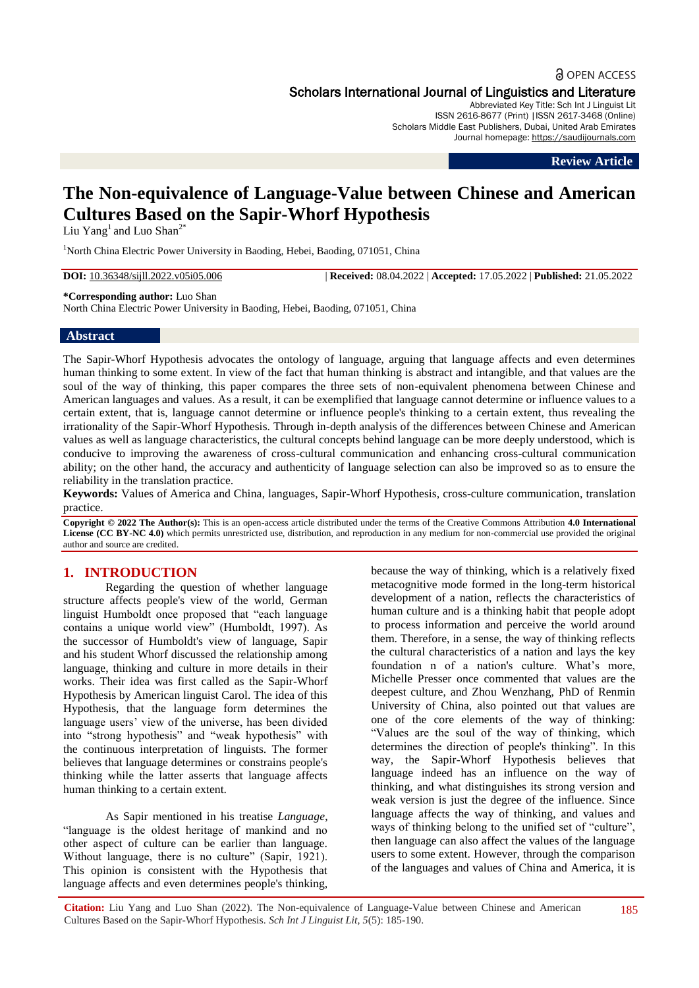# **a** OPEN ACCESS Scholars International Journal of Linguistics and Literature

Abbreviated Key Title: Sch Int J Linguist Lit ISSN 2616-8677 (Print) |ISSN 2617-3468 (Online) Scholars Middle East Publishers, Dubai, United Arab Emirates Journal homepage: https://saudijournals.com

**Review Article**

# **The Non-equivalence of Language-Value between Chinese and American Cultures Based on the Sapir-Whorf Hypothesis**

Liu  $Yang<sup>1</sup>$  and Luo Shan<sup>2\*</sup>

<sup>1</sup>North China Electric Power University in Baoding, Hebei, Baoding, 071051, China

**DOI:** 10.36348/sijll.2022.v05i05.006 | **Received:** 08.04.2022 | **Accepted:** 17.05.2022 | **Published:** 21.05.2022

**\*Corresponding author:** Luo Shan

North China Electric Power University in Baoding, Hebei, Baoding, 071051, China

#### **Abstract**

The Sapir-Whorf Hypothesis advocates the ontology of language, arguing that language affects and even determines human thinking to some extent. In view of the fact that human thinking is abstract and intangible, and that values are the soul of the way of thinking, this paper compares the three sets of non-equivalent phenomena between Chinese and American languages and values. As a result, it can be exemplified that language cannot determine or influence values to a certain extent, that is, language cannot determine or influence people's thinking to a certain extent, thus revealing the irrationality of the Sapir-Whorf Hypothesis. Through in-depth analysis of the differences between Chinese and American values as well as language characteristics, the cultural concepts behind language can be more deeply understood, which is conducive to improving the awareness of cross-cultural communication and enhancing cross-cultural communication ability; on the other hand, the accuracy and authenticity of language selection can also be improved so as to ensure the reliability in the translation practice.

**Keywords:** Values of America and China, languages, Sapir-Whorf Hypothesis, cross-culture communication, translation practice.

**Copyright © 2022 The Author(s):** This is an open-access article distributed under the terms of the Creative Commons Attribution **4.0 International License (CC BY-NC 4.0)** which permits unrestricted use, distribution, and reproduction in any medium for non-commercial use provided the original author and source are credited.

## **1. INTRODUCTION**

Regarding the question of whether language structure affects people's view of the world, German linguist Humboldt once proposed that "each language contains a unique world view" (Humboldt, 1997). As the successor of Humboldt's view of language, Sapir and his student Whorf discussed the relationship among language, thinking and culture in more details in their works. Their idea was first called as the Sapir-Whorf Hypothesis by American linguist Carol. The idea of this Hypothesis, that the language form determines the language users' view of the universe, has been divided into "strong hypothesis" and "weak hypothesis" with the continuous interpretation of linguists. The former believes that language determines or constrains people's thinking while the latter asserts that language affects human thinking to a certain extent.

As Sapir mentioned in his treatise *Language*, "language is the oldest heritage of mankind and no other aspect of culture can be earlier than language. Without language, there is no culture" (Sapir, 1921). This opinion is consistent with the Hypothesis that language affects and even determines people's thinking, because the way of thinking, which is a relatively fixed metacognitive mode formed in the long-term historical development of a nation, reflects the characteristics of human culture and is a thinking habit that people adopt to process information and perceive the world around them. Therefore, in a sense, the way of thinking reflects the cultural characteristics of a nation and lays the key foundation n of a nation's culture. What's more, Michelle Presser once commented that values are the deepest culture, and Zhou Wenzhang, PhD of Renmin University of China, also pointed out that values are one of the core elements of the way of thinking: "Values are the soul of the way of thinking, which determines the direction of people's thinking". In this way, the Sapir-Whorf Hypothesis believes that language indeed has an influence on the way of thinking, and what distinguishes its strong version and weak version is just the degree of the influence. Since language affects the way of thinking, and values and ways of thinking belong to the unified set of "culture", then language can also affect the values of the language users to some extent. However, through the comparison of the languages and values of China and America, it is

**Citation:** Liu Yang and Luo Shan (2022). The Non-equivalence of Language-Value between Chinese and American Cultures Based on the Sapir-Whorf Hypothesis. *Sch Int J Linguist Lit, 5*(5): 185-190.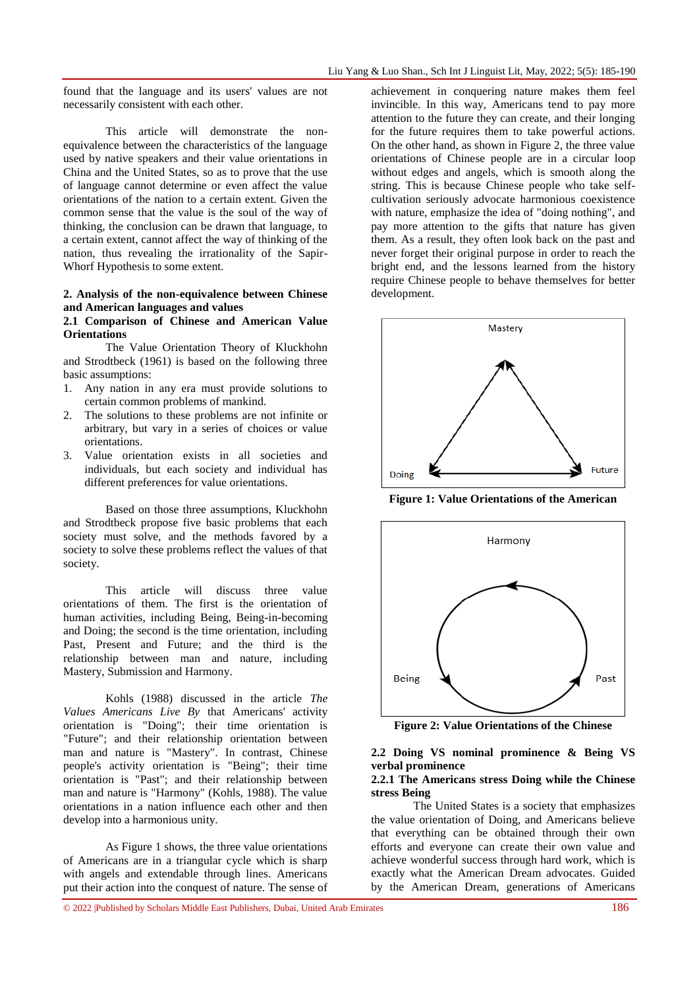found that the language and its users' values are not necessarily consistent with each other.

This article will demonstrate the nonequivalence between the characteristics of the language used by native speakers and their value orientations in China and the United States, so as to prove that the use of language cannot determine or even affect the value orientations of the nation to a certain extent. Given the common sense that the value is the soul of the way of thinking, the conclusion can be drawn that language, to a certain extent, cannot affect the way of thinking of the nation, thus revealing the irrationality of the Sapir-Whorf Hypothesis to some extent.

## **2. Analysis of the non-equivalence between Chinese and American languages and values**

#### **2.1 Comparison of Chinese and American Value Orientations**

The Value Orientation Theory of Kluckhohn and Strodtbeck (1961) is based on the following three basic assumptions:

- 1. Any nation in any era must provide solutions to certain common problems of mankind.
- 2. The solutions to these problems are not infinite or arbitrary, but vary in a series of choices or value orientations.
- 3. Value orientation exists in all societies and individuals, but each society and individual has different preferences for value orientations.

Based on those three assumptions, Kluckhohn and Strodtbeck propose five basic problems that each society must solve, and the methods favored by a society to solve these problems reflect the values of that society.

This article will discuss three value orientations of them. The first is the orientation of human activities, including Being, Being-in-becoming and Doing; the second is the time orientation, including Past, Present and Future; and the third is the relationship between man and nature, including Mastery, Submission and Harmony.

Kohls (1988) discussed in the article *The Values Americans Live By* that Americans' activity orientation is "Doing"; their time orientation is "Future"; and their relationship orientation between man and nature is "Mastery". In contrast, Chinese people's activity orientation is "Being"; their time orientation is "Past"; and their relationship between man and nature is "Harmony" (Kohls, 1988). The value orientations in a nation influence each other and then develop into a harmonious unity.

As Figure 1 shows, the three value orientations of Americans are in a triangular cycle which is sharp with angels and extendable through lines. Americans put their action into the conquest of nature. The sense of

achievement in conquering nature makes them feel invincible. In this way, Americans tend to pay more attention to the future they can create, and their longing for the future requires them to take powerful actions. On the other hand, as shown in Figure 2, the three value orientations of Chinese people are in a circular loop without edges and angels, which is smooth along the string. This is because Chinese people who take selfcultivation seriously advocate harmonious coexistence with nature, emphasize the idea of "doing nothing", and pay more attention to the gifts that nature has given them. As a result, they often look back on the past and never forget their original purpose in order to reach the bright end, and the lessons learned from the history require Chinese people to behave themselves for better development.



**Figure 1: Value Orientations of the American**



**Figure 2: Value Orientations of the Chinese**

#### **2.2 Doing VS nominal prominence & Being VS verbal prominence**

## **2.2.1 The Americans stress Doing while the Chinese stress Being**

The United States is a society that emphasizes the value orientation of Doing, and Americans believe that everything can be obtained through their own efforts and everyone can create their own value and achieve wonderful success through hard work, which is exactly what the American Dream advocates. Guided by the American Dream, generations of Americans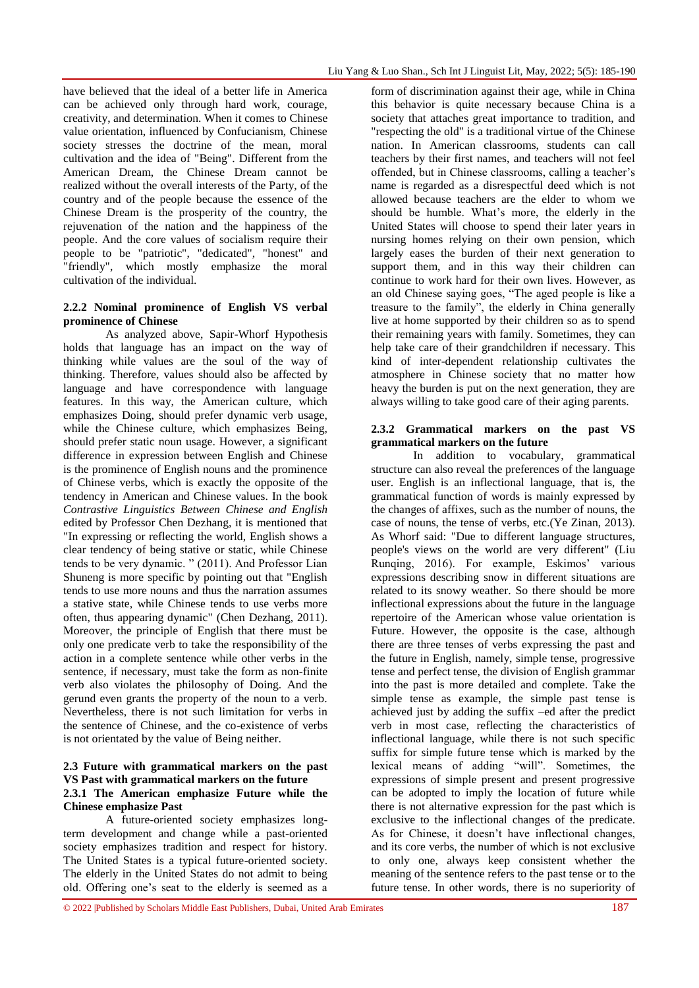have believed that the ideal of a better life in America can be achieved only through hard work, courage, creativity, and determination. When it comes to Chinese value orientation, influenced by Confucianism, Chinese society stresses the doctrine of the mean, moral cultivation and the idea of "Being". Different from the American Dream, the Chinese Dream cannot be realized without the overall interests of the Party, of the country and of the people because the essence of the Chinese Dream is the prosperity of the country, the rejuvenation of the nation and the happiness of the people. And the core values of socialism require their people to be "patriotic", "dedicated", "honest" and "friendly", which mostly emphasize the moral cultivation of the individual.

#### **2.2.2 Nominal prominence of English VS verbal prominence of Chinese**

As analyzed above, Sapir-Whorf Hypothesis holds that language has an impact on the way of thinking while values are the soul of the way of thinking. Therefore, values should also be affected by language and have correspondence with language features. In this way, the American culture, which emphasizes Doing, should prefer dynamic verb usage, while the Chinese culture, which emphasizes Being, should prefer static noun usage. However, a significant difference in expression between English and Chinese is the prominence of English nouns and the prominence of Chinese verbs, which is exactly the opposite of the tendency in American and Chinese values. In the book *Contrastive Linguistics Between Chinese and English* edited by Professor Chen Dezhang, it is mentioned that "In expressing or reflecting the world, English shows a clear tendency of being stative or static, while Chinese tends to be very dynamic. " (2011). And Professor Lian Shuneng is more specific by pointing out that "English tends to use more nouns and thus the narration assumes a stative state, while Chinese tends to use verbs more often, thus appearing dynamic" (Chen Dezhang, 2011). Moreover, the principle of English that there must be only one predicate verb to take the responsibility of the action in a complete sentence while other verbs in the sentence, if necessary, must take the form as non-finite verb also violates the philosophy of Doing. And the gerund even grants the property of the noun to a verb. Nevertheless, there is not such limitation for verbs in the sentence of Chinese, and the co-existence of verbs is not orientated by the value of Being neither.

## **2.3 Future with grammatical markers on the past VS Past with grammatical markers on the future 2.3.1 The American emphasize Future while the Chinese emphasize Past**

A future-oriented society emphasizes longterm development and change while a past-oriented society emphasizes tradition and respect for history. The United States is a typical future-oriented society. The elderly in the United States do not admit to being old. Offering one's seat to the elderly is seemed as a

form of discrimination against their age, while in China this behavior is quite necessary because China is a society that attaches great importance to tradition, and "respecting the old" is a traditional virtue of the Chinese nation. In American classrooms, students can call teachers by their first names, and teachers will not feel offended, but in Chinese classrooms, calling a teacher's name is regarded as a disrespectful deed which is not allowed because teachers are the elder to whom we should be humble. What's more, the elderly in the United States will choose to spend their later years in nursing homes relying on their own pension, which largely eases the burden of their next generation to support them, and in this way their children can continue to work hard for their own lives. However, as an old Chinese saying goes, "The aged people is like a treasure to the family", the elderly in China generally live at home supported by their children so as to spend their remaining years with family. Sometimes, they can help take care of their grandchildren if necessary. This kind of inter-dependent relationship cultivates the atmosphere in Chinese society that no matter how heavy the burden is put on the next generation, they are always willing to take good care of their aging parents.

## **2.3.2 Grammatical markers on the past VS grammatical markers on the future**

In addition to vocabulary, grammatical structure can also reveal the preferences of the language user. English is an inflectional language, that is, the grammatical function of words is mainly expressed by the changes of affixes, such as the number of nouns, the case of nouns, the tense of verbs, etc.(Ye Zinan, 2013). As Whorf said: "Due to different language structures, people's views on the world are very different" (Liu Runqing, 2016). For example, Eskimos' various expressions describing snow in different situations are related to its snowy weather. So there should be more inflectional expressions about the future in the language repertoire of the American whose value orientation is Future. However, the opposite is the case, although there are three tenses of verbs expressing the past and the future in English, namely, simple tense, progressive tense and perfect tense, the division of English grammar into the past is more detailed and complete. Take the simple tense as example, the simple past tense is achieved just by adding the suffix –ed after the predict verb in most case, reflecting the characteristics of inflectional language, while there is not such specific suffix for simple future tense which is marked by the lexical means of adding "will". Sometimes, the expressions of simple present and present progressive can be adopted to imply the location of future while there is not alternative expression for the past which is exclusive to the inflectional changes of the predicate. As for Chinese, it doesn't have inflectional changes, and its core verbs, the number of which is not exclusive to only one, always keep consistent whether the meaning of the sentence refers to the past tense or to the future tense. In other words, there is no superiority of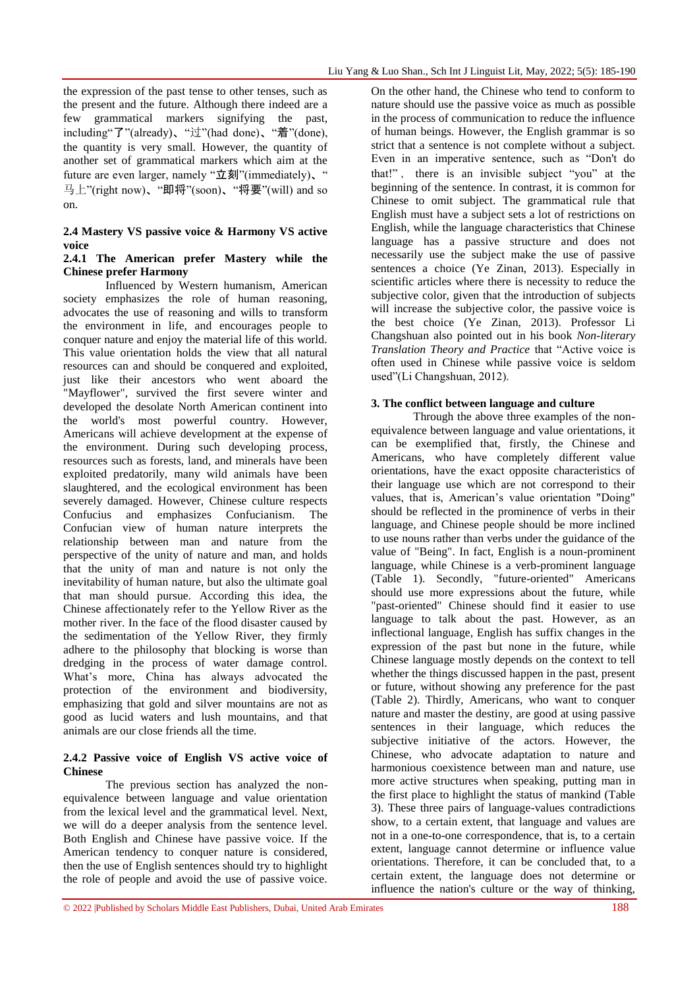the expression of the past tense to other tenses, such as the present and the future. Although there indeed are a few grammatical markers signifying the past, including"了"(already)、"过"(had done)、"着"(done), the quantity is very small. However, the quantity of another set of grammatical markers which aim at the future are even larger, namely "立刻"(immediately)、" 马上"(right now)、"即将"(soon)、"将要"(will) and so on.

## **2.4 Mastery VS passive voice & Harmony VS active voice**

## **2.4.1 The American prefer Mastery while the Chinese prefer Harmony**

Influenced by Western humanism, American society emphasizes the role of human reasoning, advocates the use of reasoning and wills to transform the environment in life, and encourages people to conquer nature and enjoy the material life of this world. This value orientation holds the view that all natural resources can and should be conquered and exploited, just like their ancestors who went aboard the "Mayflower", survived the first severe winter and developed the desolate North American continent into the world's most powerful country. However, Americans will achieve development at the expense of the environment. During such developing process, resources such as forests, land, and minerals have been exploited predatorily, many wild animals have been slaughtered, and the ecological environment has been severely damaged. However, Chinese culture respects Confucius and emphasizes Confucianism. The Confucian view of human nature interprets the relationship between man and nature from the perspective of the unity of nature and man, and holds that the unity of man and nature is not only the inevitability of human nature, but also the ultimate goal that man should pursue. According this idea, the Chinese affectionately refer to the Yellow River as the mother river. In the face of the flood disaster caused by the sedimentation of the Yellow River, they firmly adhere to the philosophy that blocking is worse than dredging in the process of water damage control. What's more, China has always advocated the protection of the environment and biodiversity, emphasizing that gold and silver mountains are not as good as lucid waters and lush mountains, and that animals are our close friends all the time.

#### **2.4.2 Passive voice of English VS active voice of Chinese**

The previous section has analyzed the nonequivalence between language and value orientation from the lexical level and the grammatical level. Next, we will do a deeper analysis from the sentence level. Both English and Chinese have passive voice. If the American tendency to conquer nature is considered, then the use of English sentences should try to highlight the role of people and avoid the use of passive voice.

On the other hand, the Chinese who tend to conform to nature should use the passive voice as much as possible in the process of communication to reduce the influence of human beings. However, the English grammar is so strict that a sentence is not complete without a subject. Even in an imperative sentence, such as "Don't do that!" , there is an invisible subject "you" at the beginning of the sentence. In contrast, it is common for Chinese to omit subject. The grammatical rule that English must have a subject sets a lot of restrictions on English, while the language characteristics that Chinese language has a passive structure and does not necessarily use the subject make the use of passive sentences a choice (Ye Zinan, 2013). Especially in scientific articles where there is necessity to reduce the subjective color, given that the introduction of subjects will increase the subjective color, the passive voice is the best choice (Ye Zinan, 2013). Professor Li Changshuan also pointed out in his book *Non-literary Translation Theory and Practice* that "Active voice is often used in Chinese while passive voice is seldom used"(Li Changshuan, 2012).

## **3. The conflict between language and culture**

Through the above three examples of the nonequivalence between language and value orientations, it can be exemplified that, firstly, the Chinese and Americans, who have completely different value orientations, have the exact opposite characteristics of their language use which are not correspond to their values, that is, American's value orientation "Doing" should be reflected in the prominence of verbs in their language, and Chinese people should be more inclined to use nouns rather than verbs under the guidance of the value of "Being". In fact, English is a noun-prominent language, while Chinese is a verb-prominent language (Table 1). Secondly, "future-oriented" Americans should use more expressions about the future, while "past-oriented" Chinese should find it easier to use language to talk about the past. However, as an inflectional language, English has suffix changes in the expression of the past but none in the future, while Chinese language mostly depends on the context to tell whether the things discussed happen in the past, present or future, without showing any preference for the past (Table 2). Thirdly, Americans, who want to conquer nature and master the destiny, are good at using passive sentences in their language, which reduces the subjective initiative of the actors. However, the Chinese, who advocate adaptation to nature and harmonious coexistence between man and nature, use more active structures when speaking, putting man in the first place to highlight the status of mankind (Table 3). These three pairs of language-values contradictions show, to a certain extent, that language and values are not in a one-to-one correspondence, that is, to a certain extent, language cannot determine or influence value orientations. Therefore, it can be concluded that, to a certain extent, the language does not determine or influence the nation's culture or the way of thinking,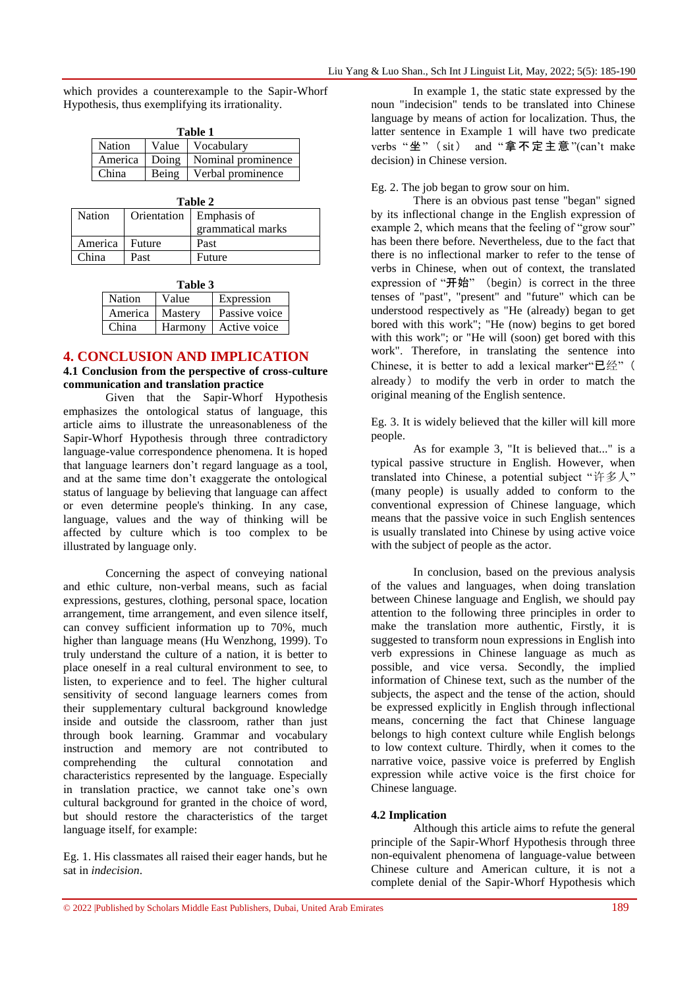which provides a counterexample to the Sapir-Whorf Hypothesis, thus exemplifying its irrationality.

| Table 1 |       |                    |  |  |
|---------|-------|--------------------|--|--|
| Nation  | Value | Vocabulary         |  |  |
| America | Doing | Nominal prominence |  |  |
| China   | Being | Verbal prominence  |  |  |

| Table 2 |        |                           |  |  |
|---------|--------|---------------------------|--|--|
| Nation  |        | Orientation   Emphasis of |  |  |
|         |        | grammatical marks         |  |  |
| America | Future | Past                      |  |  |
| China   | Past   | Future                    |  |  |

| Table 3       |         |               |  |  |
|---------------|---------|---------------|--|--|
| <b>Nation</b> | Value   | Expression    |  |  |
| America       | Mastery | Passive voice |  |  |
| China         | Harmony | Active voice  |  |  |

#### **4. CONCLUSION AND IMPLICATION**

## **4.1 Conclusion from the perspective of cross-culture communication and translation practice**

Given that the Sapir-Whorf Hypothesis emphasizes the ontological status of language, this article aims to illustrate the unreasonableness of the Sapir-Whorf Hypothesis through three contradictory language-value correspondence phenomena. It is hoped that language learners don't regard language as a tool, and at the same time don't exaggerate the ontological status of language by believing that language can affect or even determine people's thinking. In any case, language, values and the way of thinking will be affected by culture which is too complex to be illustrated by language only.

Concerning the aspect of conveying national and ethic culture, non-verbal means, such as facial expressions, gestures, clothing, personal space, location arrangement, time arrangement, and even silence itself, can convey sufficient information up to 70%, much higher than language means (Hu Wenzhong, 1999). To truly understand the culture of a nation, it is better to place oneself in a real cultural environment to see, to listen, to experience and to feel. The higher cultural sensitivity of second language learners comes from their supplementary cultural background knowledge inside and outside the classroom, rather than just through book learning. Grammar and vocabulary instruction and memory are not contributed to comprehending the cultural connotation and characteristics represented by the language. Especially in translation practice, we cannot take one's own cultural background for granted in the choice of word, but should restore the characteristics of the target language itself, for example:

Eg. 1. His classmates all raised their eager hands, but he sat in *indecision*.

In example 1, the static state expressed by the noun "indecision" tends to be translated into Chinese language by means of action for localization. Thus, the latter sentence in Example 1 will have two predicate verbs "坐"(sit) and "拿不定主意"(can't make decision) in Chinese version.

#### Eg. 2. The job began to grow sour on him.

There is an obvious past tense "began" signed by its inflectional change in the English expression of example 2, which means that the feeling of "grow sour" has been there before. Nevertheless, due to the fact that there is no inflectional marker to refer to the tense of verbs in Chinese, when out of context, the translated expression of "开始" (begin) is correct in the three tenses of "past", "present" and "future" which can be understood respectively as "He (already) began to get bored with this work"; "He (now) begins to get bored with this work"; or "He will (soon) get bored with this work". Therefore, in translating the sentence into Chinese, it is better to add a lexical marker"已经"( already) to modify the verb in order to match the original meaning of the English sentence.

Eg. 3. It is widely believed that the killer will kill more people.

As for example 3, "It is believed that..." is a typical passive structure in English. However, when translated into Chinese, a potential subject "许多人" (many people) is usually added to conform to the conventional expression of Chinese language, which means that the passive voice in such English sentences is usually translated into Chinese by using active voice with the subject of people as the actor.

In conclusion, based on the previous analysis of the values and languages, when doing translation between Chinese language and English, we should pay attention to the following three principles in order to make the translation more authentic, Firstly, it is suggested to transform noun expressions in English into verb expressions in Chinese language as much as possible, and vice versa. Secondly, the implied information of Chinese text, such as the number of the subjects, the aspect and the tense of the action, should be expressed explicitly in English through inflectional means, concerning the fact that Chinese language belongs to high context culture while English belongs to low context culture. Thirdly, when it comes to the narrative voice, passive voice is preferred by English expression while active voice is the first choice for Chinese language.

#### **4.2 Implication**

Although this article aims to refute the general principle of the Sapir-Whorf Hypothesis through three non-equivalent phenomena of language-value between Chinese culture and American culture, it is not a complete denial of the Sapir-Whorf Hypothesis which